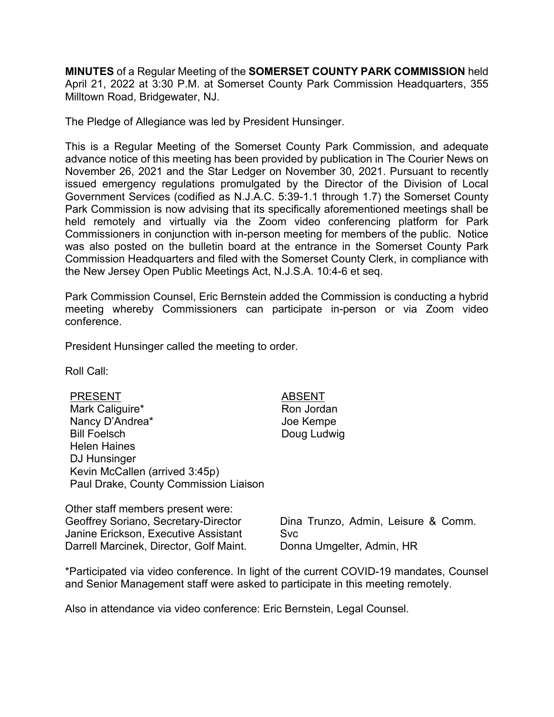**MINUTES** of a Regular Meeting of the **SOMERSET COUNTY PARK COMMISSION** held April 21, 2022 at 3:30 P.M. at Somerset County Park Commission Headquarters, 355 Milltown Road, Bridgewater, NJ.

The Pledge of Allegiance was led by President Hunsinger.

This is a Regular Meeting of the Somerset County Park Commission, and adequate advance notice of this meeting has been provided by publication in The Courier News on November 26, 2021 and the Star Ledger on November 30, 2021. Pursuant to recently issued emergency regulations promulgated by the Director of the Division of Local Government Services (codified as N.J.A.C. 5:39-1.1 through 1.7) the Somerset County Park Commission is now advising that its specifically aforementioned meetings shall be held remotely and virtually via the Zoom video conferencing platform for Park Commissioners in conjunction with in-person meeting for members of the public. Notice was also posted on the bulletin board at the entrance in the Somerset County Park Commission Headquarters and filed with the Somerset County Clerk, in compliance with the New Jersey Open Public Meetings Act, N.J.S.A. 10:4-6 et seq.

Park Commission Counsel, Eric Bernstein added the Commission is conducting a hybrid meeting whereby Commissioners can participate in-person or via Zoom video conference.

President Hunsinger called the meeting to order.

Roll Call:

| <b>PRESENT</b>                        |  |
|---------------------------------------|--|
| Mark Caliguire*                       |  |
| Nancy D'Andrea*                       |  |
| <b>Bill Foelsch</b>                   |  |
| <b>Helen Haines</b>                   |  |
| DJ Hunsinger                          |  |
| Kevin McCallen (arrived 3:45p)        |  |
| Paul Drake, County Commission Liaison |  |

### **ABSENT**

Ron Jordan Joe Kempe Doug Ludwig

| Other staff members present were:       |
|-----------------------------------------|
| Geoffrey Soriano, Secretary-Director    |
| Janine Erickson, Executive Assistant    |
| Darrell Marcinek, Director, Golf Maint. |

Dina Trunzo, Admin, Leisure & Comm. Svc Donna Umgelter, Admin, HR

\*Participated via video conference. In light of the current COVID-19 mandates, Counsel and Senior Management staff were asked to participate in this meeting remotely.

Also in attendance via video conference: Eric Bernstein, Legal Counsel.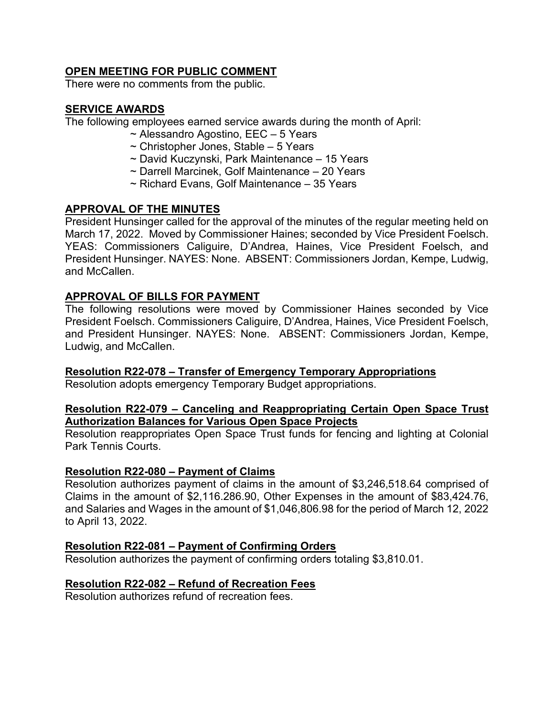## **OPEN MEETING FOR PUBLIC COMMENT**

There were no comments from the public.

## **SERVICE AWARDS**

The following employees earned service awards during the month of April:

- ~ Alessandro Agostino, EEC 5 Years
- $\sim$  Christopher Jones, Stable 5 Years
- ~ David Kuczynski, Park Maintenance 15 Years
- ~ Darrell Marcinek, Golf Maintenance 20 Years
- ~ Richard Evans, Golf Maintenance 35 Years

## **APPROVAL OF THE MINUTES**

President Hunsinger called for the approval of the minutes of the regular meeting held on March 17, 2022. Moved by Commissioner Haines; seconded by Vice President Foelsch. YEAS: Commissioners Caliguire, D'Andrea, Haines, Vice President Foelsch, and President Hunsinger. NAYES: None. ABSENT: Commissioners Jordan, Kempe, Ludwig, and McCallen.

### **APPROVAL OF BILLS FOR PAYMENT**

The following resolutions were moved by Commissioner Haines seconded by Vice President Foelsch. Commissioners Caliguire, D'Andrea, Haines, Vice President Foelsch, and President Hunsinger. NAYES: None. ABSENT: Commissioners Jordan, Kempe, Ludwig, and McCallen.

### **Resolution R22-078 – Transfer of Emergency Temporary Appropriations**

Resolution adopts emergency Temporary Budget appropriations.

### **Resolution R22-079 – Canceling and Reappropriating Certain Open Space Trust Authorization Balances for Various Open Space Projects**

Resolution reappropriates Open Space Trust funds for fencing and lighting at Colonial Park Tennis Courts.

### **Resolution R22-080 – Payment of Claims**

Resolution authorizes payment of claims in the amount of \$3,246,518.64 comprised of Claims in the amount of \$2,116.286.90, Other Expenses in the amount of \$83,424.76, and Salaries and Wages in the amount of \$1,046,806.98 for the period of March 12, 2022 to April 13, 2022.

### **Resolution R22-081 – Payment of Confirming Orders**

Resolution authorizes the payment of confirming orders totaling \$3,810.01.

### **Resolution R22-082 – Refund of Recreation Fees**

Resolution authorizes refund of recreation fees.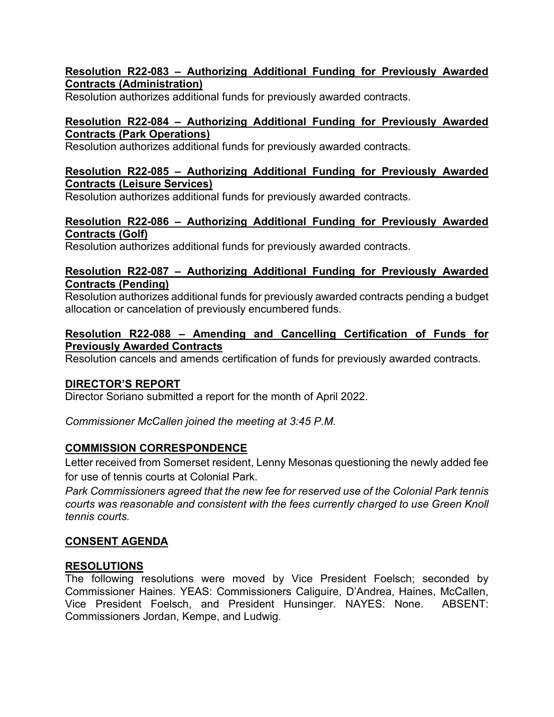## **Resolution R22-083 – Authorizing Additional Funding for Previously Awarded Contracts (Administration)**

Resolution authorizes additional funds for previously awarded contracts.

## **Resolution R22-084 – Authorizing Additional Funding for Previously Awarded Contracts (Park Operations)**

Resolution authorizes additional funds for previously awarded contracts.

## **Resolution R22-085 – Authorizing Additional Funding for Previously Awarded Contracts (Leisure Services)**

Resolution authorizes additional funds for previously awarded contracts.

## **Resolution R22-086 – Authorizing Additional Funding for Previously Awarded Contracts (Golf)**

Resolution authorizes additional funds for previously awarded contracts.

## **Resolution R22-087 – Authorizing Additional Funding for Previously Awarded Contracts (Pending)**

Resolution authorizes additional funds for previously awarded contracts pending a budget allocation or cancelation of previously encumbered funds.

## **Resolution R22-088 – Amending and Cancelling Certification of Funds for Previously Awarded Contracts**

Resolution cancels and amends certification of funds for previously awarded contracts.

## **DIRECTOR'S REPORT**

Director Soriano submitted a report for the month of April 2022.

*Commissioner McCallen joined the meeting at 3:45 P.M.*

## **COMMISSION CORRESPONDENCE**

Letter received from Somerset resident, Lenny Mesonas questioning the newly added fee for use of tennis courts at Colonial Park.

*Park Commissioners agreed that the new fee for reserved use of the Colonial Park tennis courts was reasonable and consistent with the fees currently charged to use Green Knoll tennis courts.* 

# **CONSENT AGENDA**

## **RESOLUTIONS**

The following resolutions were moved by Vice President Foelsch; seconded by Commissioner Haines. YEAS: Commissioners Caliguire, D'Andrea, Haines, McCallen, Vice President Foelsch, and President Hunsinger. NAYES: None. ABSENT: Commissioners Jordan, Kempe, and Ludwig.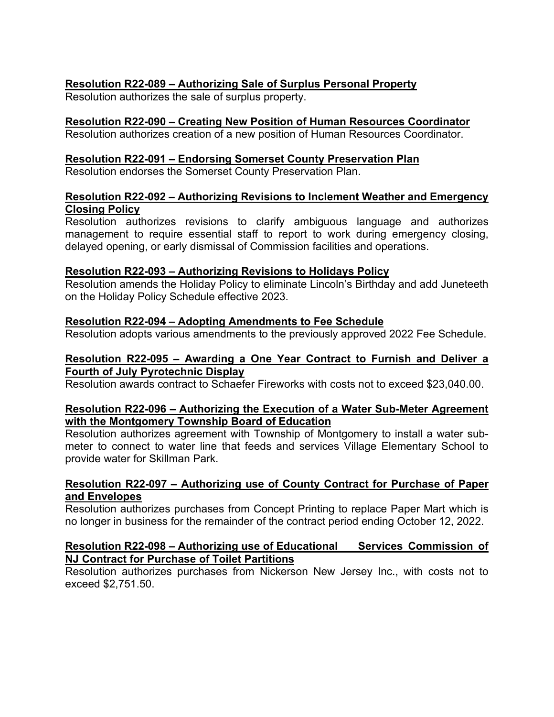## **Resolution R22-089 – Authorizing Sale of Surplus Personal Property**

Resolution authorizes the sale of surplus property.

## **Resolution R22-090 – Creating New Position of Human Resources Coordinator**

Resolution authorizes creation of a new position of Human Resources Coordinator.

### **Resolution R22-091 – Endorsing Somerset County Preservation Plan**

Resolution endorses the Somerset County Preservation Plan.

## **Resolution R22-092 – Authorizing Revisions to Inclement Weather and Emergency Closing Policy**

Resolution authorizes revisions to clarify ambiguous language and authorizes management to require essential staff to report to work during emergency closing, delayed opening, or early dismissal of Commission facilities and operations.

### **Resolution R22-093 – Authorizing Revisions to Holidays Policy**

Resolution amends the Holiday Policy to eliminate Lincoln's Birthday and add Juneteeth on the Holiday Policy Schedule effective 2023.

### **Resolution R22-094 – Adopting Amendments to Fee Schedule**

Resolution adopts various amendments to the previously approved 2022 Fee Schedule.

#### **Resolution R22-095 – Awarding a One Year Contract to Furnish and Deliver a Fourth of July Pyrotechnic Display**

Resolution awards contract to Schaefer Fireworks with costs not to exceed \$23,040.00.

#### **Resolution R22-096 – Authorizing the Execution of a Water Sub-Meter Agreement with the Montgomery Township Board of Education**

Resolution authorizes agreement with Township of Montgomery to install a water submeter to connect to water line that feeds and services Village Elementary School to provide water for Skillman Park.

### **Resolution R22-097 – Authorizing use of County Contract for Purchase of Paper and Envelopes**

Resolution authorizes purchases from Concept Printing to replace Paper Mart which is no longer in business for the remainder of the contract period ending October 12, 2022.

### **Resolution R22-098 – Authorizing use of Educational Services Commission of NJ Contract for Purchase of Toilet Partitions**

Resolution authorizes purchases from Nickerson New Jersey Inc., with costs not to exceed \$2,751.50.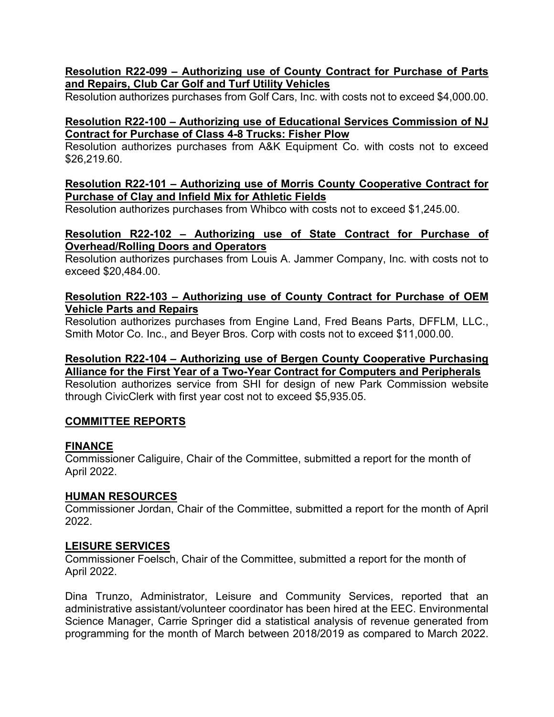## **Resolution R22-099 – Authorizing use of County Contract for Purchase of Parts and Repairs, Club Car Golf and Turf Utility Vehicles**

Resolution authorizes purchases from Golf Cars, Inc. with costs not to exceed \$4,000.00.

## **Resolution R22-100 – Authorizing use of Educational Services Commission of NJ Contract for Purchase of Class 4-8 Trucks: Fisher Plow**

Resolution authorizes purchases from A&K Equipment Co. with costs not to exceed \$26,219.60.

### **Resolution R22-101 – Authorizing use of Morris County Cooperative Contract for Purchase of Clay and Infield Mix for Athletic Fields**

Resolution authorizes purchases from Whibco with costs not to exceed \$1,245.00.

## **Resolution R22-102 – Authorizing use of State Contract for Purchase of Overhead/Rolling Doors and Operators**

Resolution authorizes purchases from Louis A. Jammer Company, Inc. with costs not to exceed \$20,484.00.

## **Resolution R22-103 – Authorizing use of County Contract for Purchase of OEM Vehicle Parts and Repairs**

Resolution authorizes purchases from Engine Land, Fred Beans Parts, DFFLM, LLC., Smith Motor Co. Inc., and Beyer Bros. Corp with costs not to exceed \$11,000.00.

## **Resolution R22-104 – Authorizing use of Bergen County Cooperative Purchasing Alliance for the First Year of a Two-Year Contract for Computers and Peripherals**

Resolution authorizes service from SHI for design of new Park Commission website through CivicClerk with first year cost not to exceed \$5,935.05.

## **COMMITTEE REPORTS**

### **FINANCE**

Commissioner Caliguire, Chair of the Committee, submitted a report for the month of April 2022.

### **HUMAN RESOURCES**

Commissioner Jordan, Chair of the Committee, submitted a report for the month of April 2022.

## **LEISURE SERVICES**

Commissioner Foelsch, Chair of the Committee, submitted a report for the month of April 2022.

Dina Trunzo, Administrator, Leisure and Community Services, reported that an administrative assistant/volunteer coordinator has been hired at the EEC. Environmental Science Manager, Carrie Springer did a statistical analysis of revenue generated from programming for the month of March between 2018/2019 as compared to March 2022.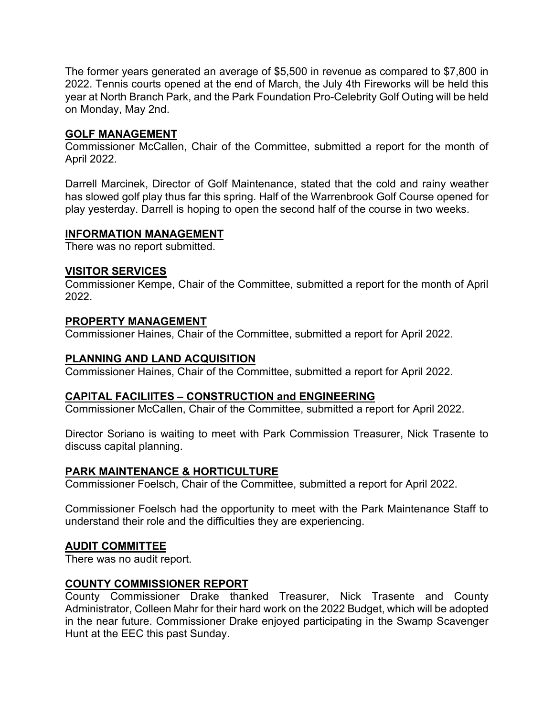The former years generated an average of \$5,500 in revenue as compared to \$7,800 in 2022. Tennis courts opened at the end of March, the July 4th Fireworks will be held this year at North Branch Park, and the Park Foundation Pro-Celebrity Golf Outing will be held on Monday, May 2nd.

## **GOLF MANAGEMENT**

Commissioner McCallen, Chair of the Committee, submitted a report for the month of April 2022.

Darrell Marcinek, Director of Golf Maintenance, stated that the cold and rainy weather has slowed golf play thus far this spring. Half of the Warrenbrook Golf Course opened for play yesterday. Darrell is hoping to open the second half of the course in two weeks.

### **INFORMATION MANAGEMENT**

There was no report submitted.

#### **VISITOR SERVICES**

Commissioner Kempe, Chair of the Committee, submitted a report for the month of April 2022.

#### **PROPERTY MANAGEMENT**

Commissioner Haines, Chair of the Committee, submitted a report for April 2022.

### **PLANNING AND LAND ACQUISITION**

Commissioner Haines, Chair of the Committee, submitted a report for April 2022.

#### **CAPITAL FACILIITES – CONSTRUCTION and ENGINEERING**

Commissioner McCallen, Chair of the Committee, submitted a report for April 2022.

Director Soriano is waiting to meet with Park Commission Treasurer, Nick Trasente to discuss capital planning.

#### **PARK MAINTENANCE & HORTICULTURE**

Commissioner Foelsch, Chair of the Committee, submitted a report for April 2022.

Commissioner Foelsch had the opportunity to meet with the Park Maintenance Staff to understand their role and the difficulties they are experiencing.

#### **AUDIT COMMITTEE**

There was no audit report.

### **COUNTY COMMISSIONER REPORT**

County Commissioner Drake thanked Treasurer, Nick Trasente and County Administrator, Colleen Mahr for their hard work on the 2022 Budget, which will be adopted in the near future. Commissioner Drake enjoyed participating in the Swamp Scavenger Hunt at the EEC this past Sunday.